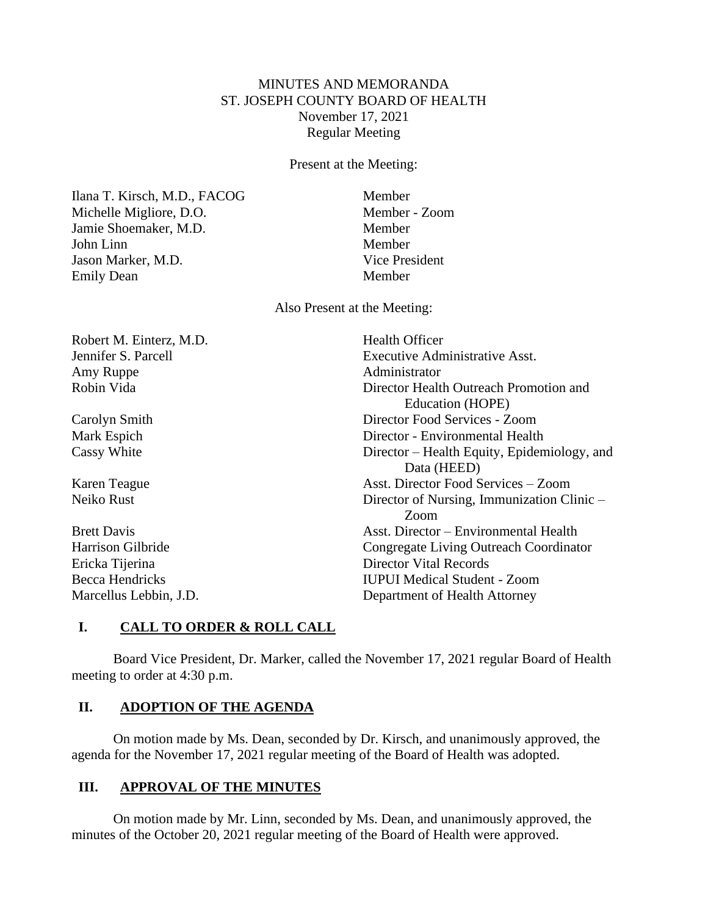## MINUTES AND MEMORANDA ST. JOSEPH COUNTY BOARD OF HEALTH November 17, 2021 Regular Meeting

Present at the Meeting:

Ilana T. Kirsch, M.D., FACOG Member Michelle Migliore, D.O. Member - Zoom Jamie Shoemaker, M.D. Member John Linn Member Jason Marker, M.D. Vice President Emily Dean Member

Also Present at the Meeting:

Robert M. Einterz, M.D. Health Officer Amy Ruppe Administrator

Jennifer S. Parcell Executive Administrative Asst. Robin Vida **Director Health Outreach Promotion and** Director Health Outreach Promotion and Education (HOPE) Carolyn Smith Director Food Services - Zoom Mark Espich Director - Environmental Health Cassy White Director – Health Equity, Epidemiology, and Data (HEED) Karen Teague Asst. Director Food Services – Zoom Neiko Rust Director of Nursing, Immunization Clinic – Zoom Brett Davis **Asst.** Director – Environmental Health Harrison Gilbride Congregate Living Outreach Coordinator Ericka Tijerina Director Vital Records Becca Hendricks IUPUI Medical Student - Zoom Marcellus Lebbin, J.D. Department of Health Attorney

# **I. CALL TO ORDER & ROLL CALL**

Board Vice President, Dr. Marker, called the November 17, 2021 regular Board of Health meeting to order at 4:30 p.m.

## **II. ADOPTION OF THE AGENDA**

On motion made by Ms. Dean, seconded by Dr. Kirsch, and unanimously approved, the agenda for the November 17, 2021 regular meeting of the Board of Health was adopted.

## **III. APPROVAL OF THE MINUTES**

On motion made by Mr. Linn, seconded by Ms. Dean, and unanimously approved, the minutes of the October 20, 2021 regular meeting of the Board of Health were approved.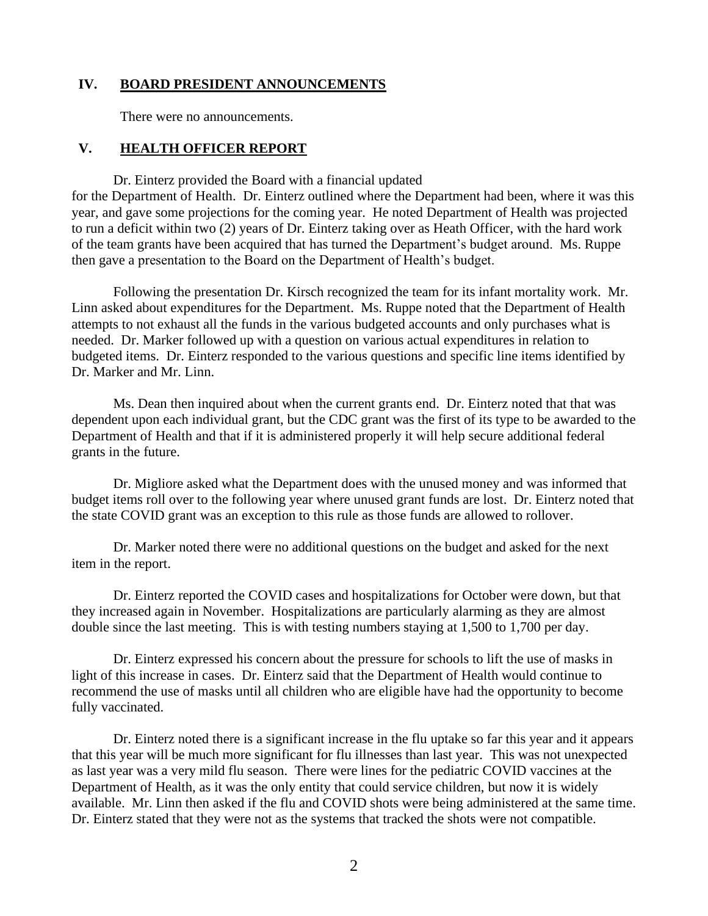#### **IV. BOARD PRESIDENT ANNOUNCEMENTS**

There were no announcements.

#### **V. HEALTH OFFICER REPORT**

Dr. Einterz provided the Board with a financial updated for the Department of Health. Dr. Einterz outlined where the Department had been, where it was this year, and gave some projections for the coming year. He noted Department of Health was projected to run a deficit within two (2) years of Dr. Einterz taking over as Heath Officer, with the hard work of the team grants have been acquired that has turned the Department's budget around. Ms. Ruppe then gave a presentation to the Board on the Department of Health's budget.

Following the presentation Dr. Kirsch recognized the team for its infant mortality work. Mr. Linn asked about expenditures for the Department. Ms. Ruppe noted that the Department of Health attempts to not exhaust all the funds in the various budgeted accounts and only purchases what is needed. Dr. Marker followed up with a question on various actual expenditures in relation to budgeted items. Dr. Einterz responded to the various questions and specific line items identified by Dr. Marker and Mr. Linn.

Ms. Dean then inquired about when the current grants end. Dr. Einterz noted that that was dependent upon each individual grant, but the CDC grant was the first of its type to be awarded to the Department of Health and that if it is administered properly it will help secure additional federal grants in the future.

Dr. Migliore asked what the Department does with the unused money and was informed that budget items roll over to the following year where unused grant funds are lost. Dr. Einterz noted that the state COVID grant was an exception to this rule as those funds are allowed to rollover.

Dr. Marker noted there were no additional questions on the budget and asked for the next item in the report.

Dr. Einterz reported the COVID cases and hospitalizations for October were down, but that they increased again in November. Hospitalizations are particularly alarming as they are almost double since the last meeting. This is with testing numbers staying at 1,500 to 1,700 per day.

Dr. Einterz expressed his concern about the pressure for schools to lift the use of masks in light of this increase in cases. Dr. Einterz said that the Department of Health would continue to recommend the use of masks until all children who are eligible have had the opportunity to become fully vaccinated.

Dr. Einterz noted there is a significant increase in the flu uptake so far this year and it appears that this year will be much more significant for flu illnesses than last year. This was not unexpected as last year was a very mild flu season. There were lines for the pediatric COVID vaccines at the Department of Health, as it was the only entity that could service children, but now it is widely available. Mr. Linn then asked if the flu and COVID shots were being administered at the same time. Dr. Einterz stated that they were not as the systems that tracked the shots were not compatible.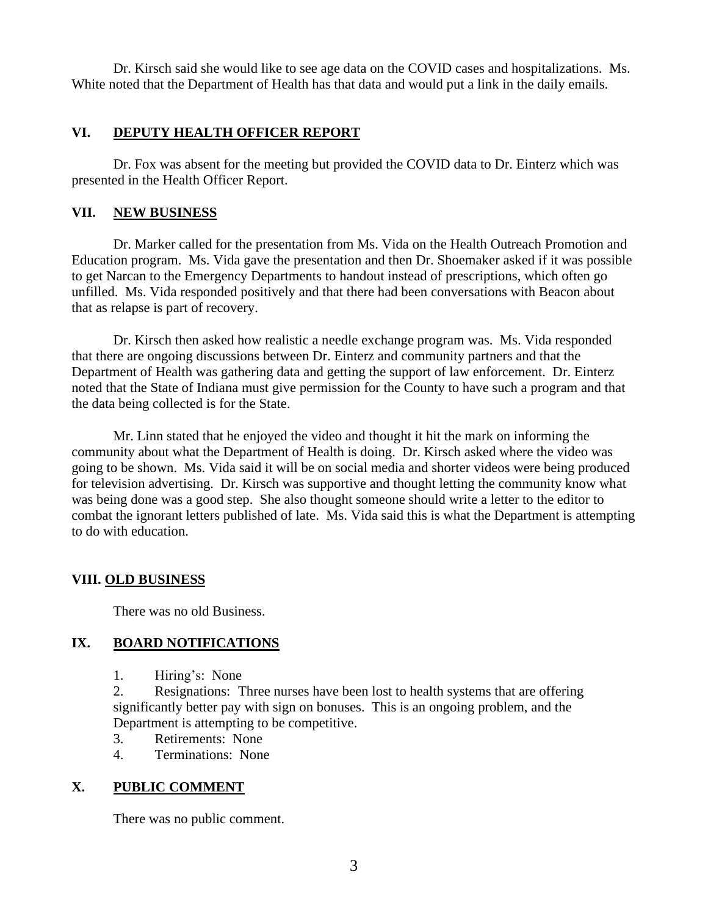Dr. Kirsch said she would like to see age data on the COVID cases and hospitalizations. Ms. White noted that the Department of Health has that data and would put a link in the daily emails.

## **VI. DEPUTY HEALTH OFFICER REPORT**

Dr. Fox was absent for the meeting but provided the COVID data to Dr. Einterz which was presented in the Health Officer Report.

#### **VII. NEW BUSINESS**

Dr. Marker called for the presentation from Ms. Vida on the Health Outreach Promotion and Education program. Ms. Vida gave the presentation and then Dr. Shoemaker asked if it was possible to get Narcan to the Emergency Departments to handout instead of prescriptions, which often go unfilled. Ms. Vida responded positively and that there had been conversations with Beacon about that as relapse is part of recovery.

Dr. Kirsch then asked how realistic a needle exchange program was. Ms. Vida responded that there are ongoing discussions between Dr. Einterz and community partners and that the Department of Health was gathering data and getting the support of law enforcement. Dr. Einterz noted that the State of Indiana must give permission for the County to have such a program and that the data being collected is for the State.

Mr. Linn stated that he enjoyed the video and thought it hit the mark on informing the community about what the Department of Health is doing. Dr. Kirsch asked where the video was going to be shown. Ms. Vida said it will be on social media and shorter videos were being produced for television advertising. Dr. Kirsch was supportive and thought letting the community know what was being done was a good step. She also thought someone should write a letter to the editor to combat the ignorant letters published of late. Ms. Vida said this is what the Department is attempting to do with education.

# **VIII. OLD BUSINESS**

There was no old Business.

# **IX. BOARD NOTIFICATIONS**

1. Hiring's: None

2. Resignations: Three nurses have been lost to health systems that are offering significantly better pay with sign on bonuses. This is an ongoing problem, and the Department is attempting to be competitive.

- 3. Retirements: None
- 4. Terminations: None

# **X. PUBLIC COMMENT**

There was no public comment.